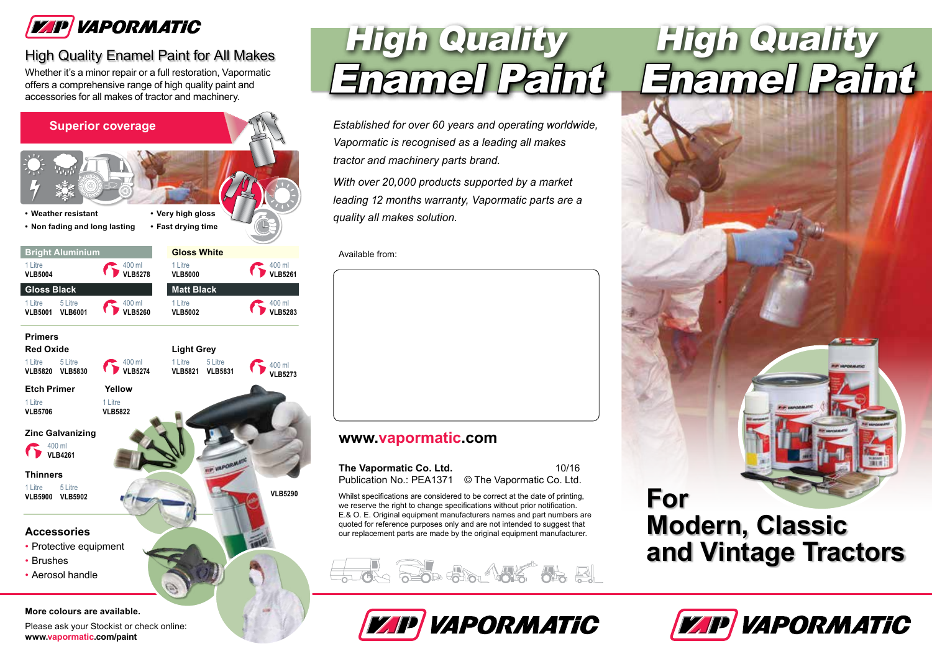

### High Quality Enamel Paint for All Makes

Whether it's a minor repair or a full restoration, Vapormatic offers a comprehensive range of high quality paint and accessories for all makes of tractor and machinery.



# High Quality Enamel Paint

*Established for over 60 years and operating worldwide, Vapormatic is recognised as a leading all makes tractor and machinery parts brand.*

*With over 20,000 products supported by a market leading 12 months warranty, Vapormatic parts are a quality all makes solution.*

#### Available from:

### **www.vapormatic.com**

| The Vapormatic Co. Ltd.  | 10/16                     |
|--------------------------|---------------------------|
| Publication No.: PEA1371 | © The Vapormatic Co. Ltd. |

Whilst specifications are considered to be correct at the date of printing, we reserve the right to change specifications without prior notification. E.& O. E. Original equipment manufacturers names and part numbers are quoted for reference purposes only and are not intended to suggest that our replacement parts are made by the original equipment manufacturer.



## VAPORMATIC

# High Quality Enamel Paint